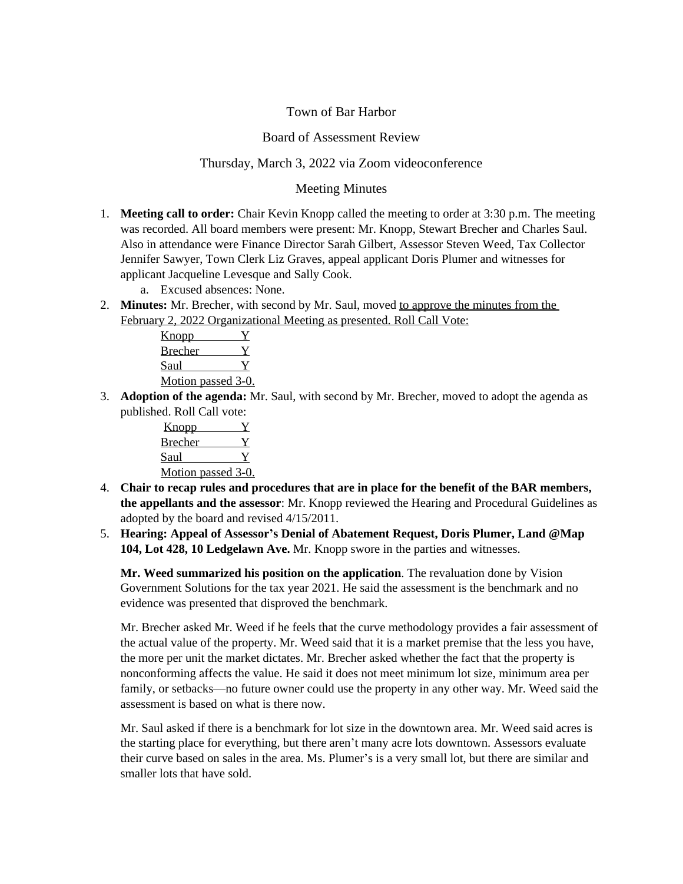## Town of Bar Harbor

## Board of Assessment Review

## Thursday, March 3, 2022 via Zoom videoconference

## Meeting Minutes

- 1. **Meeting call to order:** Chair Kevin Knopp called the meeting to order at 3:30 p.m. The meeting was recorded. All board members were present: Mr. Knopp, Stewart Brecher and Charles Saul. Also in attendance were Finance Director Sarah Gilbert, Assessor Steven Weed, Tax Collector Jennifer Sawyer, Town Clerk Liz Graves, appeal applicant Doris Plumer and witnesses for applicant Jacqueline Levesque and Sally Cook.
	- a. Excused absences: None.
- 2. **Minutes:** Mr. Brecher, with second by Mr. Saul, moved to approve the minutes from the February 2, 2022 Organizational Meeting as presented. Roll Call Vote:

| <u>Knopp</u>              |  |
|---------------------------|--|
| Brecher                   |  |
| Saul                      |  |
| <u>Motion passed 3-0.</u> |  |

3. **Adoption of the agenda:** Mr. Saul, with second by Mr. Brecher, moved to adopt the agenda as published. Roll Call vote:

| <u>Knopp</u>       |  |
|--------------------|--|
| <b>Brecher</b>     |  |
| Saul               |  |
| Motion passed 3-0. |  |

- 4. **Chair to recap rules and procedures that are in place for the benefit of the BAR members, the appellants and the assessor**: Mr. Knopp reviewed the Hearing and Procedural Guidelines as adopted by the board and revised 4/15/2011.
- 5. **Hearing: Appeal of Assessor's Denial of Abatement Request, Doris Plumer, Land @Map 104, Lot 428, 10 Ledgelawn Ave.** Mr. Knopp swore in the parties and witnesses.

**Mr. Weed summarized his position on the application**. The revaluation done by Vision Government Solutions for the tax year 2021. He said the assessment is the benchmark and no evidence was presented that disproved the benchmark.

Mr. Brecher asked Mr. Weed if he feels that the curve methodology provides a fair assessment of the actual value of the property. Mr. Weed said that it is a market premise that the less you have, the more per unit the market dictates. Mr. Brecher asked whether the fact that the property is nonconforming affects the value. He said it does not meet minimum lot size, minimum area per family, or setbacks—no future owner could use the property in any other way. Mr. Weed said the assessment is based on what is there now.

Mr. Saul asked if there is a benchmark for lot size in the downtown area. Mr. Weed said acres is the starting place for everything, but there aren't many acre lots downtown. Assessors evaluate their curve based on sales in the area. Ms. Plumer's is a very small lot, but there are similar and smaller lots that have sold.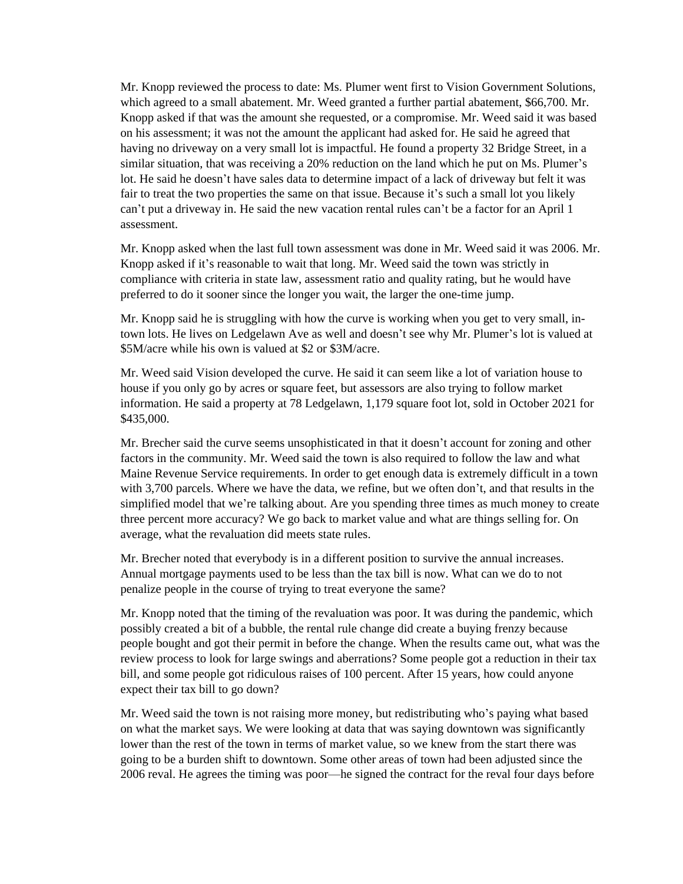Mr. Knopp reviewed the process to date: Ms. Plumer went first to Vision Government Solutions, which agreed to a small abatement. Mr. Weed granted a further partial abatement, \$66,700. Mr. Knopp asked if that was the amount she requested, or a compromise. Mr. Weed said it was based on his assessment; it was not the amount the applicant had asked for. He said he agreed that having no driveway on a very small lot is impactful. He found a property 32 Bridge Street, in a similar situation, that was receiving a 20% reduction on the land which he put on Ms. Plumer's lot. He said he doesn't have sales data to determine impact of a lack of driveway but felt it was fair to treat the two properties the same on that issue. Because it's such a small lot you likely can't put a driveway in. He said the new vacation rental rules can't be a factor for an April 1 assessment.

Mr. Knopp asked when the last full town assessment was done in Mr. Weed said it was 2006. Mr. Knopp asked if it's reasonable to wait that long. Mr. Weed said the town was strictly in compliance with criteria in state law, assessment ratio and quality rating, but he would have preferred to do it sooner since the longer you wait, the larger the one-time jump.

Mr. Knopp said he is struggling with how the curve is working when you get to very small, intown lots. He lives on Ledgelawn Ave as well and doesn't see why Mr. Plumer's lot is valued at \$5M/acre while his own is valued at \$2 or \$3M/acre.

Mr. Weed said Vision developed the curve. He said it can seem like a lot of variation house to house if you only go by acres or square feet, but assessors are also trying to follow market information. He said a property at 78 Ledgelawn, 1,179 square foot lot, sold in October 2021 for \$435,000.

Mr. Brecher said the curve seems unsophisticated in that it doesn't account for zoning and other factors in the community. Mr. Weed said the town is also required to follow the law and what Maine Revenue Service requirements. In order to get enough data is extremely difficult in a town with 3,700 parcels. Where we have the data, we refine, but we often don't, and that results in the simplified model that we're talking about. Are you spending three times as much money to create three percent more accuracy? We go back to market value and what are things selling for. On average, what the revaluation did meets state rules.

Mr. Brecher noted that everybody is in a different position to survive the annual increases. Annual mortgage payments used to be less than the tax bill is now. What can we do to not penalize people in the course of trying to treat everyone the same?

Mr. Knopp noted that the timing of the revaluation was poor. It was during the pandemic, which possibly created a bit of a bubble, the rental rule change did create a buying frenzy because people bought and got their permit in before the change. When the results came out, what was the review process to look for large swings and aberrations? Some people got a reduction in their tax bill, and some people got ridiculous raises of 100 percent. After 15 years, how could anyone expect their tax bill to go down?

Mr. Weed said the town is not raising more money, but redistributing who's paying what based on what the market says. We were looking at data that was saying downtown was significantly lower than the rest of the town in terms of market value, so we knew from the start there was going to be a burden shift to downtown. Some other areas of town had been adjusted since the 2006 reval. He agrees the timing was poor—he signed the contract for the reval four days before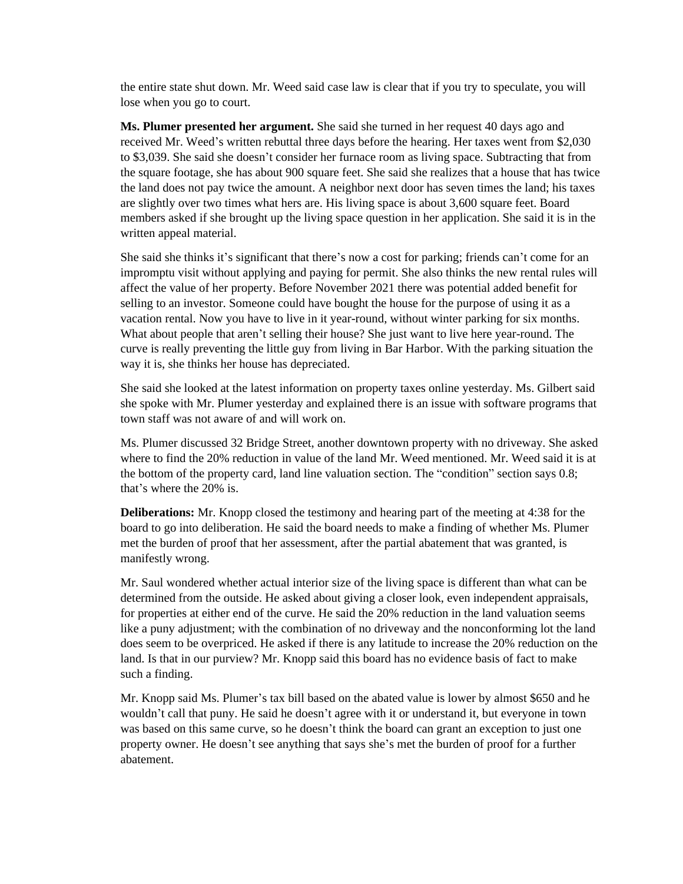the entire state shut down. Mr. Weed said case law is clear that if you try to speculate, you will lose when you go to court.

**Ms. Plumer presented her argument.** She said she turned in her request 40 days ago and received Mr. Weed's written rebuttal three days before the hearing. Her taxes went from \$2,030 to \$3,039. She said she doesn't consider her furnace room as living space. Subtracting that from the square footage, she has about 900 square feet. She said she realizes that a house that has twice the land does not pay twice the amount. A neighbor next door has seven times the land; his taxes are slightly over two times what hers are. His living space is about 3,600 square feet. Board members asked if she brought up the living space question in her application. She said it is in the written appeal material.

She said she thinks it's significant that there's now a cost for parking; friends can't come for an impromptu visit without applying and paying for permit. She also thinks the new rental rules will affect the value of her property. Before November 2021 there was potential added benefit for selling to an investor. Someone could have bought the house for the purpose of using it as a vacation rental. Now you have to live in it year-round, without winter parking for six months. What about people that aren't selling their house? She just want to live here year-round. The curve is really preventing the little guy from living in Bar Harbor. With the parking situation the way it is, she thinks her house has depreciated.

She said she looked at the latest information on property taxes online yesterday. Ms. Gilbert said she spoke with Mr. Plumer yesterday and explained there is an issue with software programs that town staff was not aware of and will work on.

Ms. Plumer discussed 32 Bridge Street, another downtown property with no driveway. She asked where to find the 20% reduction in value of the land Mr. Weed mentioned. Mr. Weed said it is at the bottom of the property card, land line valuation section. The "condition" section says 0.8; that's where the 20% is.

**Deliberations:** Mr. Knopp closed the testimony and hearing part of the meeting at 4:38 for the board to go into deliberation. He said the board needs to make a finding of whether Ms. Plumer met the burden of proof that her assessment, after the partial abatement that was granted, is manifestly wrong.

Mr. Saul wondered whether actual interior size of the living space is different than what can be determined from the outside. He asked about giving a closer look, even independent appraisals, for properties at either end of the curve. He said the 20% reduction in the land valuation seems like a puny adjustment; with the combination of no driveway and the nonconforming lot the land does seem to be overpriced. He asked if there is any latitude to increase the 20% reduction on the land. Is that in our purview? Mr. Knopp said this board has no evidence basis of fact to make such a finding.

Mr. Knopp said Ms. Plumer's tax bill based on the abated value is lower by almost \$650 and he wouldn't call that puny. He said he doesn't agree with it or understand it, but everyone in town was based on this same curve, so he doesn't think the board can grant an exception to just one property owner. He doesn't see anything that says she's met the burden of proof for a further abatement.